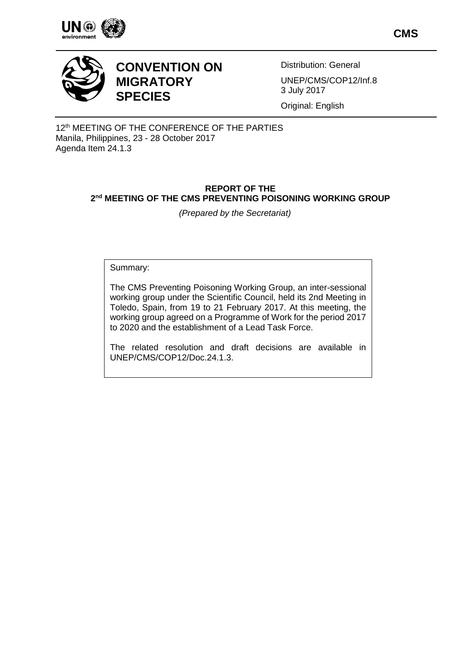

**CMS**



# **CONVENTION ON MIGRATORY SPECIES**

Distribution: General UNEP/CMS/COP12/Inf.8 3 July 2017

Original: English

12<sup>th</sup> MEETING OF THE CONFERENCE OF THE PARTIES Manila, Philippines, 23 - 28 October 2017 Agenda Item 24.1.3

# **REPORT OF THE 2 nd MEETING OF THE CMS PREVENTING POISONING WORKING GROUP**

*(Prepared by the Secretariat)*

Summary:

The CMS Preventing Poisoning Working Group, an inter-sessional working group under the Scientific Council, held its 2nd Meeting in Toledo, Spain, from 19 to 21 February 2017. At this meeting, the working group agreed on a Programme of Work for the period 2017 to 2020 and the establishment of a Lead Task Force.

The related resolution and draft decisions are available in UNEP/CMS/COP12/Doc.24.1.3.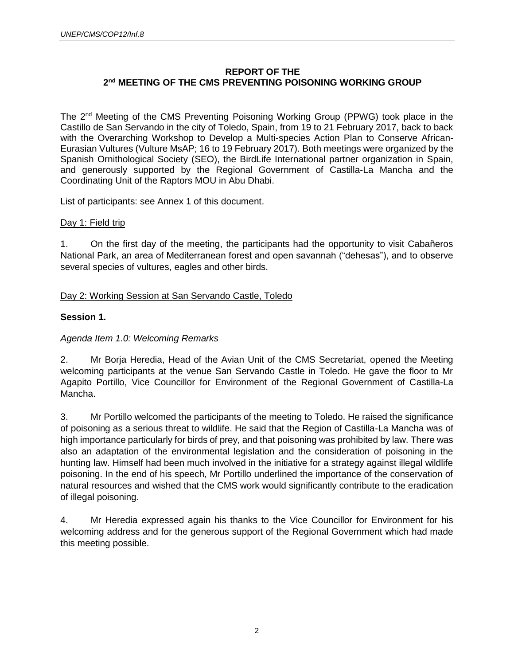# **REPORT OF THE 2 nd MEETING OF THE CMS PREVENTING POISONING WORKING GROUP**

The 2nd Meeting of the CMS Preventing Poisoning Working Group (PPWG) took place in the Castillo de San Servando in the city of Toledo, Spain, from 19 to 21 February 2017, back to back with the Overarching Workshop to Develop a Multi-species Action Plan to Conserve African-Eurasian Vultures (Vulture MsAP; 16 to 19 February 2017). Both meetings were organized by the Spanish Ornithological Society (SEO), the BirdLife International partner organization in Spain, and generously supported by the Regional Government of Castilla-La Mancha and the Coordinating Unit of the Raptors MOU in Abu Dhabi.

List of participants: see Annex 1 of this document.

# Day 1: Field trip

1. On the first day of the meeting, the participants had the opportunity to visit Cabañeros National Park, an area of Mediterranean forest and open savannah ("dehesas"), and to observe several species of vultures, eagles and other birds.

# Day 2: Working Session at San Servando Castle, Toledo

# **Session 1.**

# *Agenda Item 1.0: Welcoming Remarks*

2. Mr Borja Heredia, Head of the Avian Unit of the CMS Secretariat, opened the Meeting welcoming participants at the venue San Servando Castle in Toledo. He gave the floor to Mr Agapito Portillo, Vice Councillor for Environment of the Regional Government of Castilla-La Mancha.

3. Mr Portillo welcomed the participants of the meeting to Toledo. He raised the significance of poisoning as a serious threat to wildlife. He said that the Region of Castilla-La Mancha was of high importance particularly for birds of prey, and that poisoning was prohibited by law. There was also an adaptation of the environmental legislation and the consideration of poisoning in the hunting law. Himself had been much involved in the initiative for a strategy against illegal wildlife poisoning. In the end of his speech, Mr Portillo underlined the importance of the conservation of natural resources and wished that the CMS work would significantly contribute to the eradication of illegal poisoning.

4. Mr Heredia expressed again his thanks to the Vice Councillor for Environment for his welcoming address and for the generous support of the Regional Government which had made this meeting possible.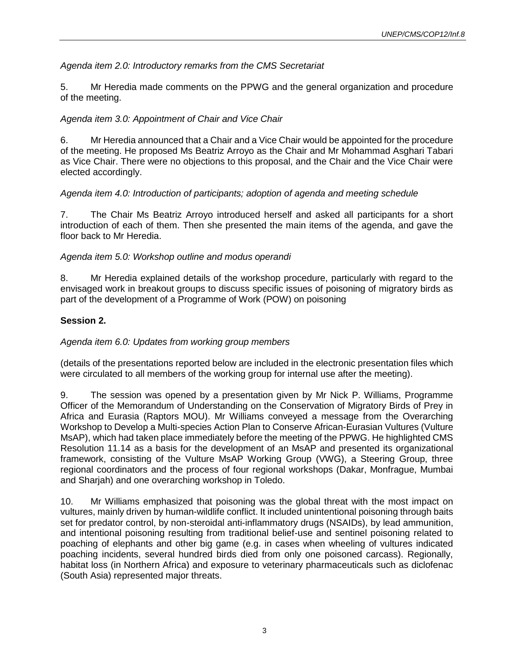*Agenda item 2.0: Introductory remarks from the CMS Secretariat*

5. Mr Heredia made comments on the PPWG and the general organization and procedure of the meeting.

# *Agenda item 3.0: Appointment of Chair and Vice Chair*

6. Mr Heredia announced that a Chair and a Vice Chair would be appointed for the procedure of the meeting. He proposed Ms Beatriz Arroyo as the Chair and Mr Mohammad Asghari Tabari as Vice Chair. There were no objections to this proposal, and the Chair and the Vice Chair were elected accordingly.

### *Agenda item 4.0: Introduction of participants; adoption of agenda and meeting schedule*

7. The Chair Ms Beatriz Arroyo introduced herself and asked all participants for a short introduction of each of them. Then she presented the main items of the agenda, and gave the floor back to Mr Heredia.

### *Agenda item 5.0: Workshop outline and modus operandi*

8. Mr Heredia explained details of the workshop procedure, particularly with regard to the envisaged work in breakout groups to discuss specific issues of poisoning of migratory birds as part of the development of a Programme of Work (POW) on poisoning

# **Session 2.**

### *Agenda item 6.0: Updates from working group members*

(details of the presentations reported below are included in the electronic presentation files which were circulated to all members of the working group for internal use after the meeting).

9. The session was opened by a presentation given by Mr Nick P. Williams, Programme Officer of the Memorandum of Understanding on the Conservation of Migratory Birds of Prey in Africa and Eurasia (Raptors MOU). Mr Williams conveyed a message from the Overarching Workshop to Develop a Multi-species Action Plan to Conserve African-Eurasian Vultures (Vulture MsAP), which had taken place immediately before the meeting of the PPWG. He highlighted CMS Resolution 11.14 as a basis for the development of an MsAP and presented its organizational framework, consisting of the Vulture MsAP Working Group (VWG), a Steering Group, three regional coordinators and the process of four regional workshops (Dakar, Monfrague, Mumbai and Sharjah) and one overarching workshop in Toledo.

10. Mr Williams emphasized that poisoning was the global threat with the most impact on vultures, mainly driven by human-wildlife conflict. It included unintentional poisoning through baits set for predator control, by non-steroidal anti-inflammatory drugs (NSAIDs), by lead ammunition, and intentional poisoning resulting from traditional belief-use and sentinel poisoning related to poaching of elephants and other big game (e.g. in cases when wheeling of vultures indicated poaching incidents, several hundred birds died from only one poisoned carcass). Regionally, habitat loss (in Northern Africa) and exposure to veterinary pharmaceuticals such as diclofenac (South Asia) represented major threats.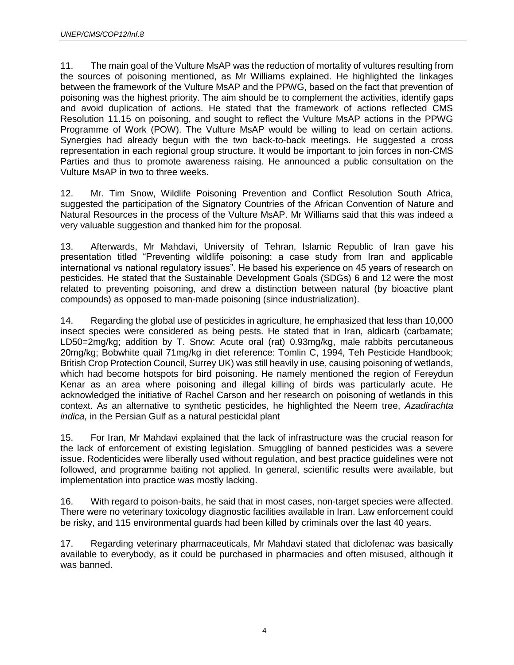11. The main goal of the Vulture MsAP was the reduction of mortality of vultures resulting from the sources of poisoning mentioned, as Mr Williams explained. He highlighted the linkages between the framework of the Vulture MsAP and the PPWG, based on the fact that prevention of poisoning was the highest priority. The aim should be to complement the activities, identify gaps and avoid duplication of actions. He stated that the framework of actions reflected CMS Resolution 11.15 on poisoning, and sought to reflect the Vulture MsAP actions in the PPWG Programme of Work (POW). The Vulture MsAP would be willing to lead on certain actions. Synergies had already begun with the two back-to-back meetings. He suggested a cross representation in each regional group structure. It would be important to join forces in non-CMS Parties and thus to promote awareness raising. He announced a public consultation on the Vulture MsAP in two to three weeks.

12. Mr. Tim Snow, Wildlife Poisoning Prevention and Conflict Resolution South Africa, suggested the participation of the Signatory Countries of the African Convention of Nature and Natural Resources in the process of the Vulture MsAP. Mr Williams said that this was indeed a very valuable suggestion and thanked him for the proposal.

13. Afterwards, Mr Mahdavi, University of Tehran, Islamic Republic of Iran gave his presentation titled "Preventing wildlife poisoning: a case study from Iran and applicable international vs national regulatory issues". He based his experience on 45 years of research on pesticides. He stated that the Sustainable Development Goals (SDGs) 6 and 12 were the most related to preventing poisoning, and drew a distinction between natural (by bioactive plant compounds) as opposed to man-made poisoning (since industrialization).

14. Regarding the global use of pesticides in agriculture, he emphasized that less than 10,000 insect species were considered as being pests. He stated that in Iran, aldicarb (carbamate; LD50=2mg/kg; addition by T. Snow: Acute oral (rat) 0.93mg/kg, male rabbits percutaneous 20mg/kg; Bobwhite quail 71mg/kg in diet reference: Tomlin C, 1994, Teh Pesticide Handbook; British Crop Protection Council, Surrey UK) was still heavily in use, causing poisoning of wetlands, which had become hotspots for bird poisoning. He namely mentioned the region of Fereydun Kenar as an area where poisoning and illegal killing of birds was particularly acute. He acknowledged the initiative of Rachel Carson and her research on poisoning of wetlands in this context. As an alternative to synthetic pesticides, he highlighted the Neem tree, *Azadirachta indica,* in the Persian Gulf as a natural pesticidal plant

15. For Iran, Mr Mahdavi explained that the lack of infrastructure was the crucial reason for the lack of enforcement of existing legislation. Smuggling of banned pesticides was a severe issue. Rodenticides were liberally used without regulation, and best practice guidelines were not followed, and programme baiting not applied. In general, scientific results were available, but implementation into practice was mostly lacking.

16. With regard to poison-baits, he said that in most cases, non-target species were affected. There were no veterinary toxicology diagnostic facilities available in Iran. Law enforcement could be risky, and 115 environmental guards had been killed by criminals over the last 40 years.

17. Regarding veterinary pharmaceuticals, Mr Mahdavi stated that diclofenac was basically available to everybody, as it could be purchased in pharmacies and often misused, although it was banned.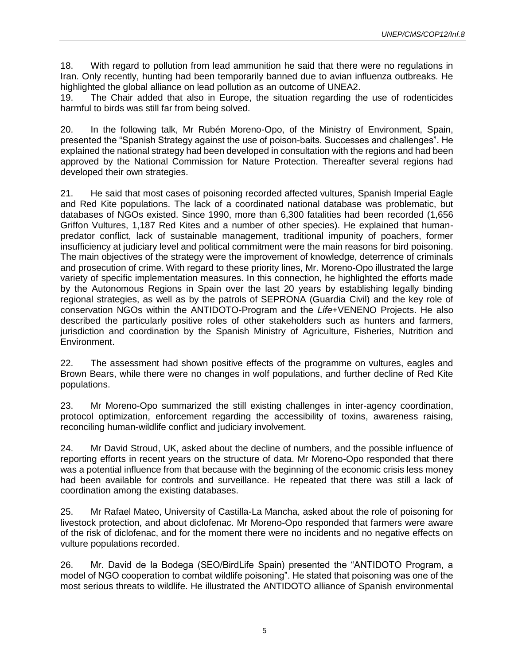18. With regard to pollution from lead ammunition he said that there were no regulations in Iran. Only recently, hunting had been temporarily banned due to avian influenza outbreaks. He highlighted the global alliance on lead pollution as an outcome of UNEA2.

19. The Chair added that also in Europe, the situation regarding the use of rodenticides harmful to birds was still far from being solved.

20. In the following talk, Mr Rubén Moreno-Opo, of the Ministry of Environment, Spain, presented the "Spanish Strategy against the use of poison-baits. Successes and challenges". He explained the national strategy had been developed in consultation with the regions and had been approved by the National Commission for Nature Protection. Thereafter several regions had developed their own strategies.

21. He said that most cases of poisoning recorded affected vultures, Spanish Imperial Eagle and Red Kite populations. The lack of a coordinated national database was problematic, but databases of NGOs existed. Since 1990, more than 6,300 fatalities had been recorded (1,656 Griffon Vultures, 1,187 Red Kites and a number of other species). He explained that humanpredator conflict, lack of sustainable management, traditional impunity of poachers, former insufficiency at judiciary level and political commitment were the main reasons for bird poisoning. The main objectives of the strategy were the improvement of knowledge, deterrence of criminals and prosecution of crime. With regard to these priority lines, Mr. Moreno-Opo illustrated the large variety of specific implementation measures. In this connection, he highlighted the efforts made by the Autonomous Regions in Spain over the last 20 years by establishing legally binding regional strategies, as well as by the patrols of SEPRONA (Guardia Civil) and the key role of conservation NGOs within the ANTIDOTO-Program and the *Life*+VENENO Projects. He also described the particularly positive roles of other stakeholders such as hunters and farmers, jurisdiction and coordination by the Spanish Ministry of Agriculture, Fisheries, Nutrition and Environment.

22. The assessment had shown positive effects of the programme on vultures, eagles and Brown Bears, while there were no changes in wolf populations, and further decline of Red Kite populations.

23. Mr Moreno-Opo summarized the still existing challenges in inter-agency coordination, protocol optimization, enforcement regarding the accessibility of toxins, awareness raising, reconciling human-wildlife conflict and judiciary involvement.

24. Mr David Stroud, UK, asked about the decline of numbers, and the possible influence of reporting efforts in recent years on the structure of data. Mr Moreno-Opo responded that there was a potential influence from that because with the beginning of the economic crisis less money had been available for controls and surveillance. He repeated that there was still a lack of coordination among the existing databases.

25. Mr Rafael Mateo, University of Castilla-La Mancha, asked about the role of poisoning for livestock protection, and about diclofenac. Mr Moreno-Opo responded that farmers were aware of the risk of diclofenac, and for the moment there were no incidents and no negative effects on vulture populations recorded.

26. Mr. David de la Bodega (SEO/BirdLife Spain) presented the "ANTIDOTO Program, a model of NGO cooperation to combat wildlife poisoning". He stated that poisoning was one of the most serious threats to wildlife. He illustrated the ANTIDOTO alliance of Spanish environmental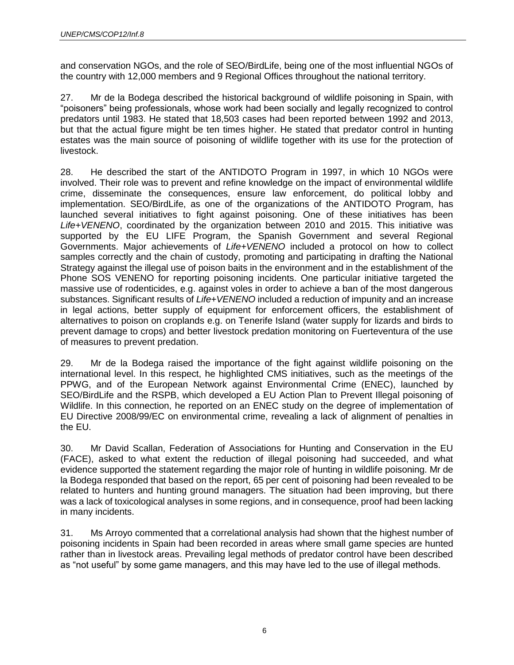and conservation NGOs, and the role of SEO/BirdLife, being one of the most influential NGOs of the country with 12,000 members and 9 Regional Offices throughout the national territory.

27. Mr de la Bodega described the historical background of wildlife poisoning in Spain, with "poisoners" being professionals, whose work had been socially and legally recognized to control predators until 1983. He stated that 18,503 cases had been reported between 1992 and 2013, but that the actual figure might be ten times higher. He stated that predator control in hunting estates was the main source of poisoning of wildlife together with its use for the protection of livestock.

28. He described the start of the ANTIDOTO Program in 1997, in which 10 NGOs were involved. Their role was to prevent and refine knowledge on the impact of environmental wildlife crime, disseminate the consequences, ensure law enforcement, do political lobby and implementation. SEO/BirdLife, as one of the organizations of the ANTIDOTO Program, has launched several initiatives to fight against poisoning. One of these initiatives has been *Life+VENENO*, coordinated by the organization between 2010 and 2015. This initiative was supported by the EU LIFE Program, the Spanish Government and several Regional Governments. Major achievements of *Life+VENENO* included a protocol on how to collect samples correctly and the chain of custody, promoting and participating in drafting the National Strategy against the illegal use of poison baits in the environment and in the establishment of the Phone SOS VENENO for reporting poisoning incidents. One particular initiative targeted the massive use of rodenticides, e.g. against voles in order to achieve a ban of the most dangerous substances. Significant results of *Life+VENENO* included a reduction of impunity and an increase in legal actions, better supply of equipment for enforcement officers, the establishment of alternatives to poison on croplands e.g. on Tenerife Island (water supply for lizards and birds to prevent damage to crops) and better livestock predation monitoring on Fuerteventura of the use of measures to prevent predation.

29. Mr de la Bodega raised the importance of the fight against wildlife poisoning on the international level. In this respect, he highlighted CMS initiatives, such as the meetings of the PPWG, and of the European Network against Environmental Crime (ENEC), launched by SEO/BirdLife and the RSPB, which developed a EU Action Plan to Prevent Illegal poisoning of Wildlife. In this connection, he reported on an ENEC study on the degree of implementation of EU Directive 2008/99/EC on environmental crime, revealing a lack of alignment of penalties in the EU.

30. Mr David Scallan, Federation of Associations for Hunting and Conservation in the EU (FACE), asked to what extent the reduction of illegal poisoning had succeeded, and what evidence supported the statement regarding the major role of hunting in wildlife poisoning. Mr de la Bodega responded that based on the report, 65 per cent of poisoning had been revealed to be related to hunters and hunting ground managers. The situation had been improving, but there was a lack of toxicological analyses in some regions, and in consequence, proof had been lacking in many incidents.

31. Ms Arroyo commented that a correlational analysis had shown that the highest number of poisoning incidents in Spain had been recorded in areas where small game species are hunted rather than in livestock areas. Prevailing legal methods of predator control have been described as "not useful" by some game managers, and this may have led to the use of illegal methods.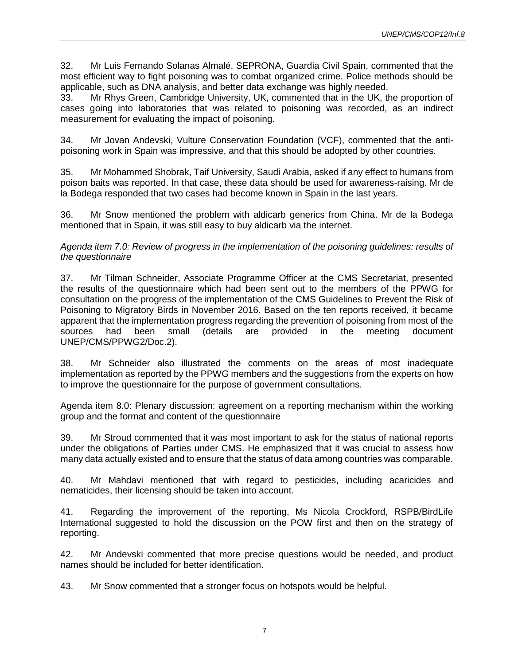32. Mr Luis Fernando Solanas Almalé, SEPRONA, Guardia Civil Spain, commented that the most efficient way to fight poisoning was to combat organized crime. Police methods should be applicable, such as DNA analysis, and better data exchange was highly needed.

33. Mr Rhys Green, Cambridge University, UK, commented that in the UK, the proportion of cases going into laboratories that was related to poisoning was recorded, as an indirect measurement for evaluating the impact of poisoning.

34. Mr Jovan Andevski, Vulture Conservation Foundation (VCF), commented that the antipoisoning work in Spain was impressive, and that this should be adopted by other countries.

35. Mr Mohammed Shobrak, Taif University, Saudi Arabia, asked if any effect to humans from poison baits was reported. In that case, these data should be used for awareness-raising. Mr de la Bodega responded that two cases had become known in Spain in the last years.

36. Mr Snow mentioned the problem with aldicarb generics from China. Mr de la Bodega mentioned that in Spain, it was still easy to buy aldicarb via the internet.

*Agenda item 7.0: Review of progress in the implementation of the poisoning guidelines: results of the questionnaire*

37. Mr Tilman Schneider, Associate Programme Officer at the CMS Secretariat, presented the results of the questionnaire which had been sent out to the members of the PPWG for consultation on the progress of the implementation of the CMS Guidelines to Prevent the Risk of Poisoning to Migratory Birds in November 2016. Based on the ten reports received, it became apparent that the implementation progress regarding the prevention of poisoning from most of the sources had been small (details are provided in the meeting document UNEP/CMS/PPWG2/Doc.2).

38. Mr Schneider also illustrated the comments on the areas of most inadequate implementation as reported by the PPWG members and the suggestions from the experts on how to improve the questionnaire for the purpose of government consultations.

Agenda item 8.0: Plenary discussion: agreement on a reporting mechanism within the working group and the format and content of the questionnaire

39. Mr Stroud commented that it was most important to ask for the status of national reports under the obligations of Parties under CMS. He emphasized that it was crucial to assess how many data actually existed and to ensure that the status of data among countries was comparable.

40. Mr Mahdavi mentioned that with regard to pesticides, including acaricides and nematicides, their licensing should be taken into account.

41. Regarding the improvement of the reporting, Ms Nicola Crockford, RSPB/BirdLife International suggested to hold the discussion on the POW first and then on the strategy of reporting.

42. Mr Andevski commented that more precise questions would be needed, and product names should be included for better identification.

43. Mr Snow commented that a stronger focus on hotspots would be helpful.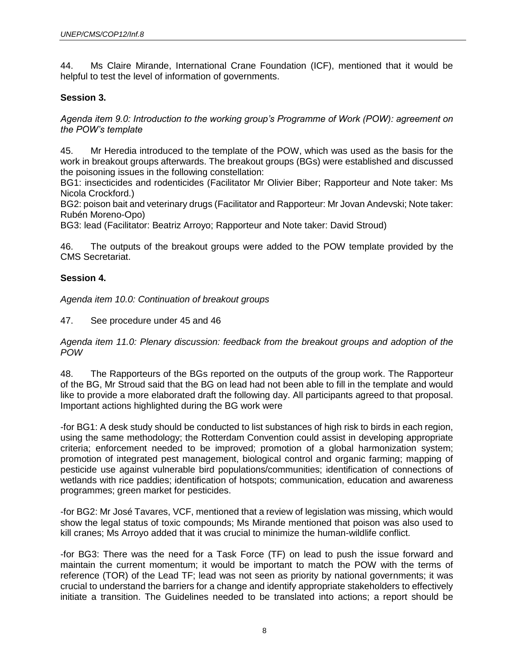44. Ms Claire Mirande, International Crane Foundation (ICF), mentioned that it would be helpful to test the level of information of governments.

# **Session 3.**

*Agenda item 9.0: Introduction to the working group's Programme of Work (POW): agreement on the POW's template*

45. Mr Heredia introduced to the template of the POW, which was used as the basis for the work in breakout groups afterwards. The breakout groups (BGs) were established and discussed the poisoning issues in the following constellation:

BG1: insecticides and rodenticides (Facilitator Mr Olivier Biber; Rapporteur and Note taker: Ms Nicola Crockford.)

BG2: poison bait and veterinary drugs (Facilitator and Rapporteur: Mr Jovan Andevski; Note taker: Rubén Moreno-Opo)

BG3: lead (Facilitator: Beatriz Arroyo; Rapporteur and Note taker: David Stroud)

46. The outputs of the breakout groups were added to the POW template provided by the CMS Secretariat.

### **Session 4.**

*Agenda item 10.0: Continuation of breakout groups*

47. See procedure under 45 and 46

*Agenda item 11.0: Plenary discussion: feedback from the breakout groups and adoption of the POW*

48. The Rapporteurs of the BGs reported on the outputs of the group work. The Rapporteur of the BG, Mr Stroud said that the BG on lead had not been able to fill in the template and would like to provide a more elaborated draft the following day. All participants agreed to that proposal. Important actions highlighted during the BG work were

-for BG1: A desk study should be conducted to list substances of high risk to birds in each region, using the same methodology; the Rotterdam Convention could assist in developing appropriate criteria; enforcement needed to be improved; promotion of a global harmonization system; promotion of integrated pest management, biological control and organic farming; mapping of pesticide use against vulnerable bird populations/communities; identification of connections of wetlands with rice paddies; identification of hotspots; communication, education and awareness programmes; green market for pesticides.

-for BG2: Mr José Tavares, VCF, mentioned that a review of legislation was missing, which would show the legal status of toxic compounds; Ms Mirande mentioned that poison was also used to kill cranes; Ms Arroyo added that it was crucial to minimize the human-wildlife conflict.

-for BG3: There was the need for a Task Force (TF) on lead to push the issue forward and maintain the current momentum; it would be important to match the POW with the terms of reference (TOR) of the Lead TF; lead was not seen as priority by national governments; it was crucial to understand the barriers for a change and identify appropriate stakeholders to effectively initiate a transition. The Guidelines needed to be translated into actions; a report should be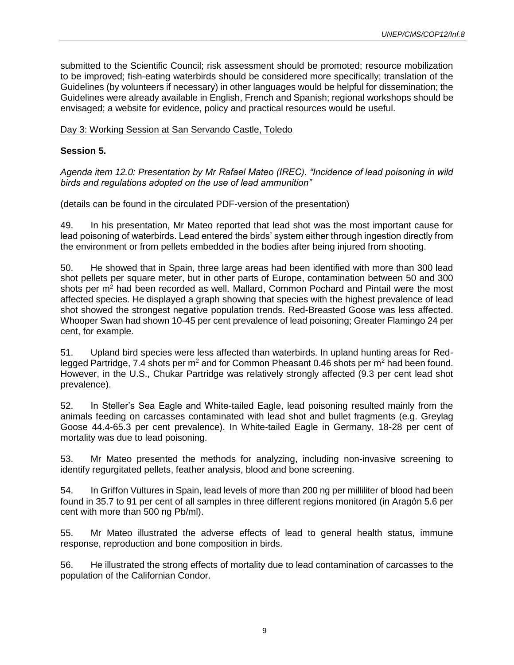submitted to the Scientific Council; risk assessment should be promoted; resource mobilization to be improved; fish-eating waterbirds should be considered more specifically; translation of the Guidelines (by volunteers if necessary) in other languages would be helpful for dissemination; the Guidelines were already available in English, French and Spanish; regional workshops should be envisaged; a website for evidence, policy and practical resources would be useful.

### Day 3: Working Session at San Servando Castle, Toledo

### **Session 5.**

*Agenda item 12.0: Presentation by Mr Rafael Mateo (IREC). "Incidence of lead poisoning in wild birds and regulations adopted on the use of lead ammunition"* 

(details can be found in the circulated PDF-version of the presentation)

49. In his presentation, Mr Mateo reported that lead shot was the most important cause for lead poisoning of waterbirds. Lead entered the birds' system either through ingestion directly from the environment or from pellets embedded in the bodies after being injured from shooting.

50. He showed that in Spain, three large areas had been identified with more than 300 lead shot pellets per square meter, but in other parts of Europe, contamination between 50 and 300 shots per  $m<sup>2</sup>$  had been recorded as well. Mallard, Common Pochard and Pintail were the most affected species. He displayed a graph showing that species with the highest prevalence of lead shot showed the strongest negative population trends. Red-Breasted Goose was less affected. Whooper Swan had shown 10-45 per cent prevalence of lead poisoning; Greater Flamingo 24 per cent, for example.

51. Upland bird species were less affected than waterbirds. In upland hunting areas for Redlegged Partridge, 7.4 shots per  $m^2$  and for Common Pheasant 0.46 shots per  $m^2$  had been found. However, in the U.S., Chukar Partridge was relatively strongly affected (9.3 per cent lead shot prevalence).

52. In Steller's Sea Eagle and White-tailed Eagle, lead poisoning resulted mainly from the animals feeding on carcasses contaminated with lead shot and bullet fragments (e.g. Greylag Goose 44.4-65.3 per cent prevalence). In White-tailed Eagle in Germany, 18-28 per cent of mortality was due to lead poisoning.

53. Mr Mateo presented the methods for analyzing, including non-invasive screening to identify regurgitated pellets, feather analysis, blood and bone screening.

54. In Griffon Vultures in Spain, lead levels of more than 200 ng per milliliter of blood had been found in 35.7 to 91 per cent of all samples in three different regions monitored (in Aragón 5.6 per cent with more than 500 ng Pb/ml).

55. Mr Mateo illustrated the adverse effects of lead to general health status, immune response, reproduction and bone composition in birds.

56. He illustrated the strong effects of mortality due to lead contamination of carcasses to the population of the Californian Condor.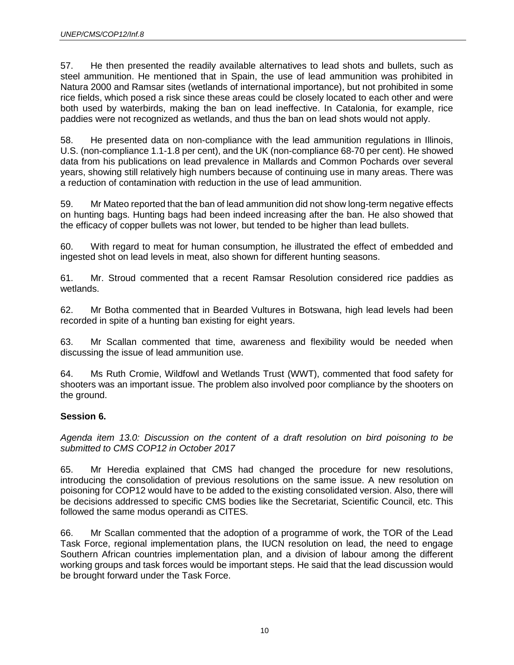57. He then presented the readily available alternatives to lead shots and bullets, such as steel ammunition. He mentioned that in Spain, the use of lead ammunition was prohibited in Natura 2000 and Ramsar sites (wetlands of international importance), but not prohibited in some rice fields, which posed a risk since these areas could be closely located to each other and were both used by waterbirds, making the ban on lead ineffective. In Catalonia, for example, rice paddies were not recognized as wetlands, and thus the ban on lead shots would not apply.

58. He presented data on non-compliance with the lead ammunition regulations in Illinois, U.S. (non-compliance 1.1-1.8 per cent), and the UK (non-compliance 68-70 per cent). He showed data from his publications on lead prevalence in Mallards and Common Pochards over several years, showing still relatively high numbers because of continuing use in many areas. There was a reduction of contamination with reduction in the use of lead ammunition.

59. Mr Mateo reported that the ban of lead ammunition did not show long-term negative effects on hunting bags. Hunting bags had been indeed increasing after the ban. He also showed that the efficacy of copper bullets was not lower, but tended to be higher than lead bullets.

60. With regard to meat for human consumption, he illustrated the effect of embedded and ingested shot on lead levels in meat, also shown for different hunting seasons.

61. Mr. Stroud commented that a recent Ramsar Resolution considered rice paddies as wetlands.

62. Mr Botha commented that in Bearded Vultures in Botswana, high lead levels had been recorded in spite of a hunting ban existing for eight years.

63. Mr Scallan commented that time, awareness and flexibility would be needed when discussing the issue of lead ammunition use.

64. Ms Ruth Cromie, Wildfowl and Wetlands Trust (WWT), commented that food safety for shooters was an important issue. The problem also involved poor compliance by the shooters on the ground.

# **Session 6.**

*Agenda item 13.0: Discussion on the content of a draft resolution on bird poisoning to be submitted to CMS COP12 in October 2017*

65. Mr Heredia explained that CMS had changed the procedure for new resolutions, introducing the consolidation of previous resolutions on the same issue. A new resolution on poisoning for COP12 would have to be added to the existing consolidated version. Also, there will be decisions addressed to specific CMS bodies like the Secretariat, Scientific Council, etc. This followed the same modus operandi as CITES.

66. Mr Scallan commented that the adoption of a programme of work, the TOR of the Lead Task Force, regional implementation plans, the IUCN resolution on lead, the need to engage Southern African countries implementation plan, and a division of labour among the different working groups and task forces would be important steps. He said that the lead discussion would be brought forward under the Task Force.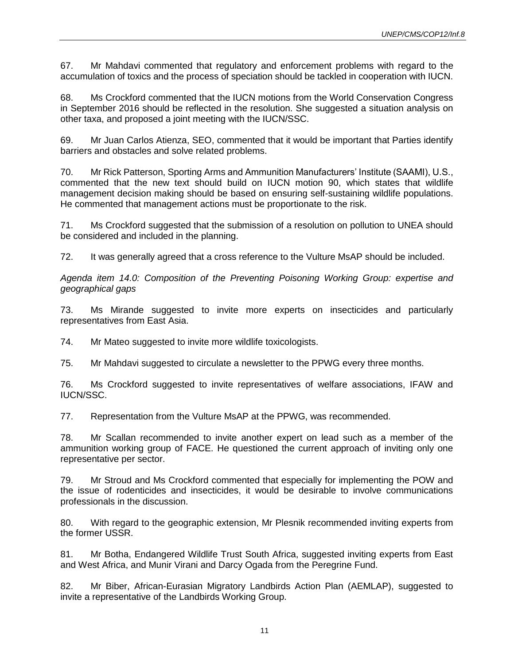67. Mr Mahdavi commented that regulatory and enforcement problems with regard to the accumulation of toxics and the process of speciation should be tackled in cooperation with IUCN.

68. Ms Crockford commented that the IUCN motions from the World Conservation Congress in September 2016 should be reflected in the resolution. She suggested a situation analysis on other taxa, and proposed a joint meeting with the IUCN/SSC.

69. Mr Juan Carlos Atienza, SEO, commented that it would be important that Parties identify barriers and obstacles and solve related problems.

70. Mr Rick Patterson, Sporting Arms and Ammunition Manufacturers' Institute (SAAMI), U.S., commented that the new text should build on IUCN motion 90, which states that wildlife management decision making should be based on ensuring self-sustaining wildlife populations. He commented that management actions must be proportionate to the risk.

71. Ms Crockford suggested that the submission of a resolution on pollution to UNEA should be considered and included in the planning.

72. It was generally agreed that a cross reference to the Vulture MsAP should be included.

*Agenda item 14.0: Composition of the Preventing Poisoning Working Group: expertise and geographical gaps*

73. Ms Mirande suggested to invite more experts on insecticides and particularly representatives from East Asia.

74. Mr Mateo suggested to invite more wildlife toxicologists.

75. Mr Mahdavi suggested to circulate a newsletter to the PPWG every three months.

76. Ms Crockford suggested to invite representatives of welfare associations, IFAW and IUCN/SSC.

77. Representation from the Vulture MsAP at the PPWG, was recommended.

78. Mr Scallan recommended to invite another expert on lead such as a member of the ammunition working group of FACE. He questioned the current approach of inviting only one representative per sector.

79. Mr Stroud and Ms Crockford commented that especially for implementing the POW and the issue of rodenticides and insecticides, it would be desirable to involve communications professionals in the discussion.

80. With regard to the geographic extension, Mr Plesnik recommended inviting experts from the former USSR.

81. Mr Botha, Endangered Wildlife Trust South Africa, suggested inviting experts from East and West Africa, and Munir Virani and Darcy Ogada from the Peregrine Fund.

82. Mr Biber, African-Eurasian Migratory Landbirds Action Plan (AEMLAP), suggested to invite a representative of the Landbirds Working Group.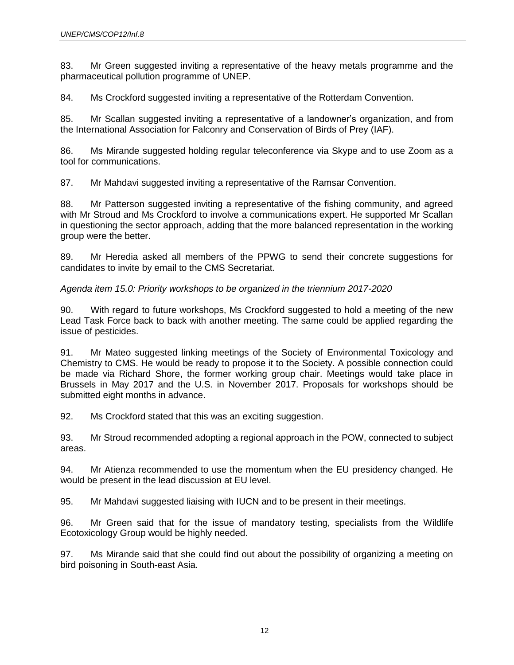83. Mr Green suggested inviting a representative of the heavy metals programme and the pharmaceutical pollution programme of UNEP.

84. Ms Crockford suggested inviting a representative of the Rotterdam Convention.

85. Mr Scallan suggested inviting a representative of a landowner's organization, and from the International Association for Falconry and Conservation of Birds of Prey (IAF).

86. Ms Mirande suggested holding regular teleconference via Skype and to use Zoom as a tool for communications.

87. Mr Mahdavi suggested inviting a representative of the Ramsar Convention.

88. Mr Patterson suggested inviting a representative of the fishing community, and agreed with Mr Stroud and Ms Crockford to involve a communications expert. He supported Mr Scallan in questioning the sector approach, adding that the more balanced representation in the working group were the better.

89. Mr Heredia asked all members of the PPWG to send their concrete suggestions for candidates to invite by email to the CMS Secretariat.

# *Agenda item 15.0: Priority workshops to be organized in the triennium 2017-2020*

90. With regard to future workshops, Ms Crockford suggested to hold a meeting of the new Lead Task Force back to back with another meeting. The same could be applied regarding the issue of pesticides.

91. Mr Mateo suggested linking meetings of the Society of Environmental Toxicology and Chemistry to CMS. He would be ready to propose it to the Society. A possible connection could be made via Richard Shore, the former working group chair. Meetings would take place in Brussels in May 2017 and the U.S. in November 2017. Proposals for workshops should be submitted eight months in advance.

92. Ms Crockford stated that this was an exciting suggestion.

93. Mr Stroud recommended adopting a regional approach in the POW, connected to subject areas.

94. Mr Atienza recommended to use the momentum when the EU presidency changed. He would be present in the lead discussion at EU level.

95. Mr Mahdavi suggested liaising with IUCN and to be present in their meetings.

96. Mr Green said that for the issue of mandatory testing, specialists from the Wildlife Ecotoxicology Group would be highly needed.

97. Ms Mirande said that she could find out about the possibility of organizing a meeting on bird poisoning in South-east Asia.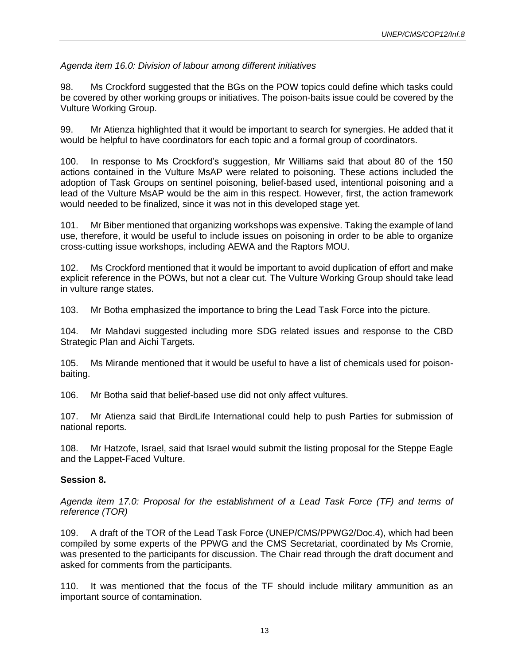# *Agenda item 16.0: Division of labour among different initiatives*

98. Ms Crockford suggested that the BGs on the POW topics could define which tasks could be covered by other working groups or initiatives. The poison-baits issue could be covered by the Vulture Working Group.

99. Mr Atienza highlighted that it would be important to search for synergies. He added that it would be helpful to have coordinators for each topic and a formal group of coordinators.

100. In response to Ms Crockford's suggestion, Mr Williams said that about 80 of the 150 actions contained in the Vulture MsAP were related to poisoning. These actions included the adoption of Task Groups on sentinel poisoning, belief-based used, intentional poisoning and a lead of the Vulture MsAP would be the aim in this respect. However, first, the action framework would needed to be finalized, since it was not in this developed stage yet.

101. Mr Biber mentioned that organizing workshops was expensive. Taking the example of land use, therefore, it would be useful to include issues on poisoning in order to be able to organize cross-cutting issue workshops, including AEWA and the Raptors MOU.

102. Ms Crockford mentioned that it would be important to avoid duplication of effort and make explicit reference in the POWs, but not a clear cut. The Vulture Working Group should take lead in vulture range states.

103. Mr Botha emphasized the importance to bring the Lead Task Force into the picture.

104. Mr Mahdavi suggested including more SDG related issues and response to the CBD Strategic Plan and Aichi Targets.

105. Ms Mirande mentioned that it would be useful to have a list of chemicals used for poisonbaiting.

106. Mr Botha said that belief-based use did not only affect vultures.

107. Mr Atienza said that BirdLife International could help to push Parties for submission of national reports.

108. Mr Hatzofe, Israel, said that Israel would submit the listing proposal for the Steppe Eagle and the Lappet-Faced Vulture.

# **Session 8.**

*Agenda item 17.0: Proposal for the establishment of a Lead Task Force (TF) and terms of reference (TOR)*

109. A draft of the TOR of the Lead Task Force (UNEP/CMS/PPWG2/Doc.4), which had been compiled by some experts of the PPWG and the CMS Secretariat, coordinated by Ms Cromie, was presented to the participants for discussion. The Chair read through the draft document and asked for comments from the participants.

110. It was mentioned that the focus of the TF should include military ammunition as an important source of contamination.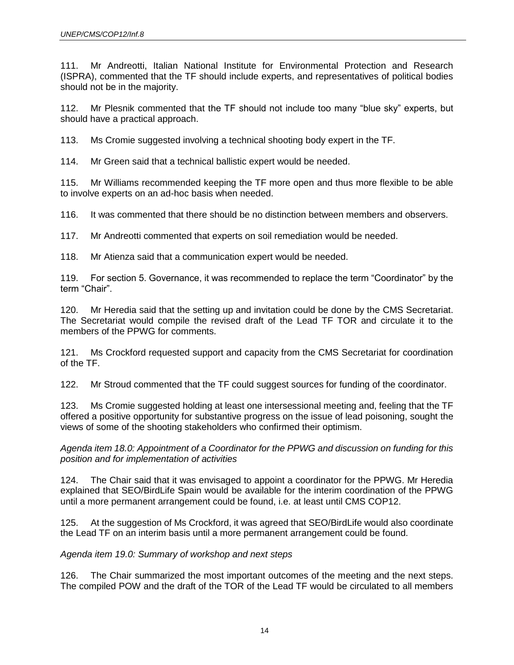111. Mr Andreotti, Italian National Institute for Environmental Protection and Research (ISPRA), commented that the TF should include experts, and representatives of political bodies should not be in the majority.

112. Mr Plesnik commented that the TF should not include too many "blue sky" experts, but should have a practical approach.

113. Ms Cromie suggested involving a technical shooting body expert in the TF.

114. Mr Green said that a technical ballistic expert would be needed.

115. Mr Williams recommended keeping the TF more open and thus more flexible to be able to involve experts on an ad-hoc basis when needed.

116. It was commented that there should be no distinction between members and observers.

117. Mr Andreotti commented that experts on soil remediation would be needed.

118. Mr Atienza said that a communication expert would be needed.

119. For section 5. Governance, it was recommended to replace the term "Coordinator" by the term "Chair".

120. Mr Heredia said that the setting up and invitation could be done by the CMS Secretariat. The Secretariat would compile the revised draft of the Lead TF TOR and circulate it to the members of the PPWG for comments.

121. Ms Crockford requested support and capacity from the CMS Secretariat for coordination of the TF.

122. Mr Stroud commented that the TF could suggest sources for funding of the coordinator.

123. Ms Cromie suggested holding at least one intersessional meeting and, feeling that the TF offered a positive opportunity for substantive progress on the issue of lead poisoning, sought the views of some of the shooting stakeholders who confirmed their optimism.

*Agenda item 18.0: Appointment of a Coordinator for the PPWG and discussion on funding for this position and for implementation of activities*

124. The Chair said that it was envisaged to appoint a coordinator for the PPWG. Mr Heredia explained that SEO/BirdLife Spain would be available for the interim coordination of the PPWG until a more permanent arrangement could be found, i.e. at least until CMS COP12.

125. At the suggestion of Ms Crockford, it was agreed that SEO/BirdLife would also coordinate the Lead TF on an interim basis until a more permanent arrangement could be found.

*Agenda item 19.0: Summary of workshop and next steps*

126. The Chair summarized the most important outcomes of the meeting and the next steps. The compiled POW and the draft of the TOR of the Lead TF would be circulated to all members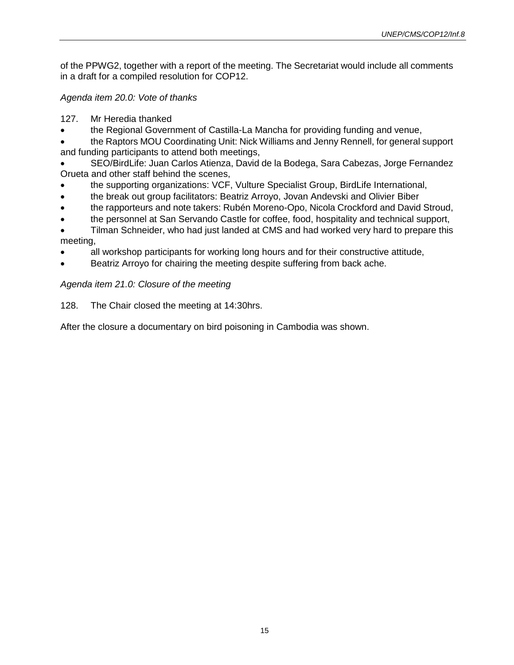of the PPWG2, together with a report of the meeting. The Secretariat would include all comments in a draft for a compiled resolution for COP12.

*Agenda item 20.0: Vote of thanks*

127. Mr Heredia thanked

• the Regional Government of Castilla-La Mancha for providing funding and venue,

• the Raptors MOU Coordinating Unit: Nick Williams and Jenny Rennell, for general support and funding participants to attend both meetings,

• SEO/BirdLife: Juan Carlos Atienza, David de la Bodega, Sara Cabezas, Jorge Fernandez Orueta and other staff behind the scenes,

- the supporting organizations: VCF, Vulture Specialist Group, BirdLife International,
- the break out group facilitators: Beatriz Arroyo, Jovan Andevski and Olivier Biber
- the rapporteurs and note takers: Rubén Moreno-Opo, Nicola Crockford and David Stroud,
- the personnel at San Servando Castle for coffee, food, hospitality and technical support,
- Tilman Schneider, who had just landed at CMS and had worked very hard to prepare this meeting,
- all workshop participants for working long hours and for their constructive attitude,
- Beatriz Arroyo for chairing the meeting despite suffering from back ache.

# *Agenda item 21.0: Closure of the meeting*

128. The Chair closed the meeting at 14:30hrs.

After the closure a documentary on bird poisoning in Cambodia was shown.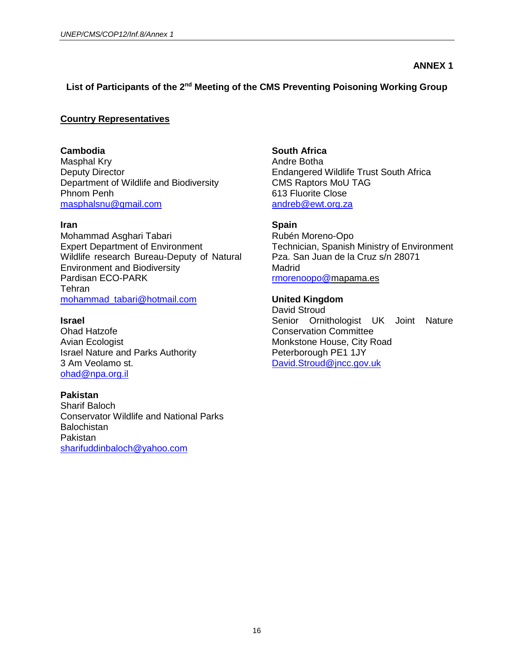### **ANNEX 1**

# **List of Participants of the 2nd Meeting of the CMS Preventing Poisoning Working Group**

### **Country Representatives**

**Cambodia** Masphal Kry

Deputy Director Department of Wildlife and Biodiversity Phnom Penh [masphalsnu@gmail.com](mailto:masphalsnu@gmail.com)

### **Iran**

Mohammad Asghari Tabari Expert Department of Environment Wildlife research Bureau-Deputy of Natural Environment and Biodiversity Pardisan ECO-PARK **Tehran** [mohammad\\_tabari@hotmail.com](mailto:mohammad_tabari@hotmail.com)

#### **Israel**

Ohad Hatzofe Avian Ecologist Israel Nature and Parks Authority 3 Am Veolamo st. [ohad@npa.org.il](mailto:ohad@npa.org.il)

### **Pakistan**

Sharif Baloch Conservator Wildlife and National Parks **Balochistan** Pakistan [sharifuddinbaloch@yahoo.com](mailto:sharifuddinbaloch@yahoo.com)

**South Africa** Andre Botha Endangered Wildlife Trust South Africa CMS Raptors MoU TAG 613 Fluorite Close [andreb@ewt.org.za](mailto:andreb@ewt.org.za)

### **Spain**

Rubén Moreno-Opo Technician, Spanish Ministry of Environment Pza. San Juan de la Cruz s/n 28071 **Madrid** [rmorenoopo@m](mailto:rmorenoopo@gmail.com)apama.es

### **United Kingdom**

David Stroud Senior Ornithologist UK Joint Nature Conservation Committee Monkstone House, City Road Peterborough PE1 1JY [David.Stroud@jncc.gov.uk](mailto:David.Stroud@jncc.gov.uk)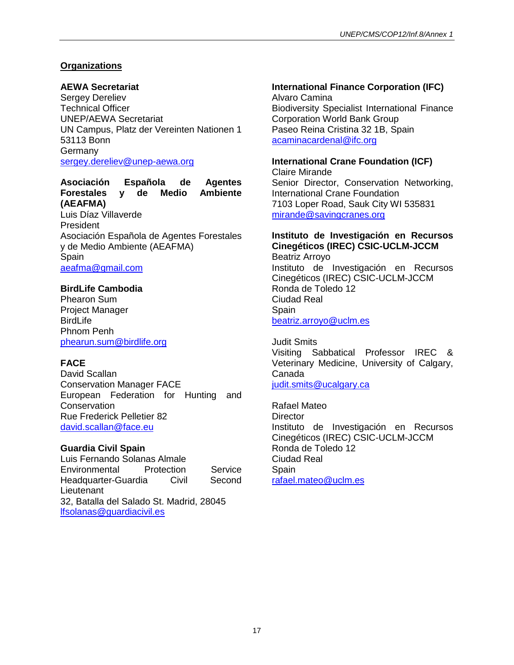# **Organizations**

# **AEWA Secretariat**

Sergey Dereliev Technical Officer UNEP/AEWA Secretariat UN Campus, Platz der Vereinten Nationen 1 53113 Bonn Germany [sergey.dereliev@unep-aewa.org](mailto:sergey.dereliev@unep-aewa.org)

# **Asociación Española de Agentes Forestales y de Medio Ambiente (AEAFMA)**

Luis Díaz Villaverde President Asociación Española de Agentes Forestales y de Medio Ambiente (AEAFMA) **Spain** [aeafma@gmail.com](mailto:aeafma@gmail.com)

# **BirdLife Cambodia**

Phearon Sum Project Manager BirdLife Phnom Penh [phearun.sum@birdlife.org](mailto:phearun.sum@birdlife.org)

# **FACE**

David Scallan Conservation Manager FACE European Federation for Hunting and **Conservation** Rue Frederick Pelletier 82 [david.scallan@face.eu](mailto:david.scallan@face.eu)

# **Guardia Civil Spain**

Luis Fernando Solanas Almale Environmental Protection Service Headquarter-Guardia Civil Second **Lieutenant** 32, Batalla del Salado St. Madrid, 28045 [lfsolanas@guardiacivil.es](mailto:lfsolanas@guardiacivil.es)

# **International Finance Corporation (IFC)**

Alvaro Camina Biodiversity Specialist International Finance Corporation World Bank Group Paseo Reina Cristina 32 1B, Spain [acaminacardenal@ifc.org](mailto:acaminacardenal@ifc.org)

# **International Crane Foundation (ICF)**

Claire Mirande Senior Director, Conservation Networking, International Crane Foundation 7103 Loper Road, Sauk City WI 535831 [mirande@savingcranes.org](mailto:mirande@savingcranes.org)

# **Instituto de Investigación en Recursos Cinegéticos (IREC) CSIC-UCLM-JCCM**

Beatriz Arroyo Instituto de Investigación en Recursos Cinegéticos (IREC) CSIC-UCLM-JCCM Ronda de Toledo 12 Ciudad Real Spain [beatriz.arroyo@uclm.es](mailto:beatriz.arroyo@uclm.es)

Judit Smits Visiting Sabbatical Professor IREC & Veterinary Medicine, University of Calgary, Canada [judit.smits@ucalgary.ca](mailto:judit.smits@ucalgary.ca)

Rafael Mateo **Director** Instituto de Investigación en Recursos Cinegéticos (IREC) CSIC-UCLM-JCCM Ronda de Toledo 12 Ciudad Real **Spain** [rafael.mateo@uclm.es](mailto:rafael.mateo@uclm.es)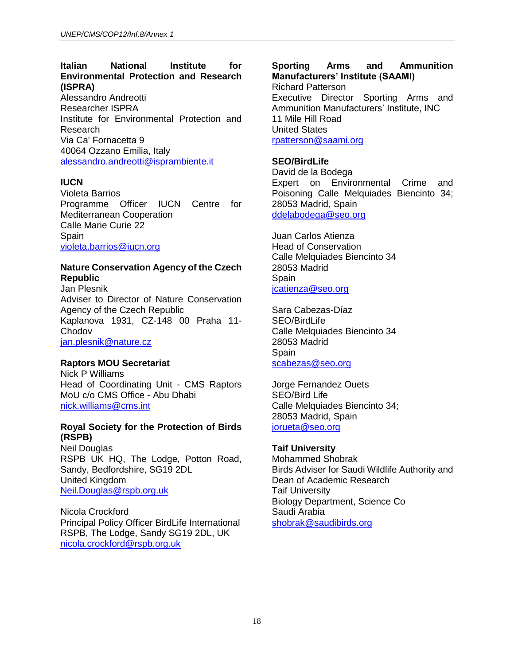# **Italian National Institute for Environmental Protection and Research (ISPRA)**

Alessandro Andreotti Researcher ISPRA Institute for Environmental Protection and Research Via Ca' Fornacetta 9 40064 Ozzano Emilia, Italy [alessandro.andreotti@isprambiente.it](mailto:alessandro.andreotti@isprambiente.it)

# **IUCN**

Violeta Barrios Programme Officer IUCN Centre for Mediterranean Cooperation Calle Marie Curie 22 Spain [violeta.barrios@iucn.org](mailto:violeta.barrios@iucn.org)

### **Nature Conservation Agency of the Czech Republic**

Jan Plesnik Adviser to Director of Nature Conservation Agency of the Czech Republic Kaplanova 1931, CZ-148 00 Praha 11- **Chodov** [jan.plesnik@nature.cz](mailto:jan.plesnik@nature.cz)

# **Raptors MOU Secretariat**

Nick P Williams Head of Coordinating Unit - CMS Raptors MoU c/o CMS Office - Abu Dhabi [nick.williams@cms.int](mailto:nick.williams@cms.int)

### **Royal Society for the Protection of Birds (RSPB)**

Neil Douglas RSPB UK HQ, The Lodge, Potton Road, Sandy, Bedfordshire, SG19 2DL United Kingdom [Neil.Douglas@rspb.org.uk](mailto:Neil.Douglas@rspb.org.uk)

Nicola Crockford Principal Policy Officer BirdLife International RSPB, The Lodge, Sandy SG19 2DL, UK [nicola.crockford@rspb.org.uk](mailto:nicola.crockford@rspb.org.uk)

### **Sporting Arms and Ammunition Manufacturers' Institute (SAAMI)**

Richard Patterson Executive Director Sporting Arms and Ammunition Manufacturers' Institute, INC 11 Mile Hill Road United States [rpatterson@saami.org](mailto:rpatterson@saami.org)

# **SEO/BirdLife**

David de la Bodega Expert on Environmental Crime and Poisoning Calle Melquiades Biencinto 34; 28053 Madrid, Spain [ddelabodega@seo.org](mailto:ddelabodega@seo.org)

Juan Carlos Atienza Head of Conservation Calle Melquiades Biencinto 34 28053 Madrid **Spain** [jcatienza@seo.org](mailto:jcatienza@seo.org)

Sara Cabezas-Díaz SEO/BirdLife Calle Melquiades Biencinto 34 28053 Madrid **Spain** [scabezas@seo.org](mailto:scabezas@seo.org)

Jorge Fernandez Ouets SEO/Bird Life Calle Melquiades Biencinto 34; 28053 Madrid, Spain [jorueta@seo.org](mailto:jorueta@seo.org)

### **Taif University**

Mohammed Shobrak Birds Adviser for Saudi Wildlife Authority and Dean of Academic Research Taif University Biology Department, Science Co Saudi Arabia [shobrak@saudibirds.org](mailto:shobrak@saudibirds.org)